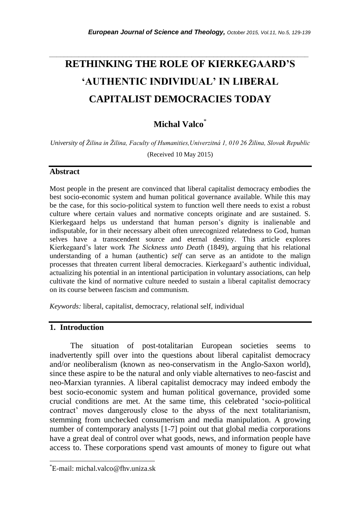# **RETHINKING THE ROLE OF KIERKEGAARD'S 'AUTHENTIC INDIVIDUAL' IN LIBERAL CAPITALIST DEMOCRACIES TODAY**

*\_\_\_\_\_\_\_\_\_\_\_\_\_\_\_\_\_\_\_\_\_\_\_\_\_\_\_\_\_\_\_\_\_\_\_\_\_\_\_\_\_\_\_\_\_\_\_\_\_\_\_\_\_\_\_\_\_\_\_\_\_\_\_\_\_\_\_\_\_\_\_*

# **Michal Valco**\*

*University of Žilina in Žilina, Faculty of Humanities,Univerzitná 1, 010 26 Žilina, Slovak Republic*

(Received 10 May 2015)

#### **Abstract**

Most people in the present are convinced that liberal capitalist democracy embodies the best socio-economic system and human political governance available. While this may be the case, for this socio-political system to function well there needs to exist a robust culture where certain values and normative concepts originate and are sustained. S. Kierkegaard helps us understand that human person's dignity is inalienable and indisputable, for in their necessary albeit often unrecognized relatedness to God, human selves have a transcendent source and eternal destiny. This article explores Kierkegaard's later work *The Sickness unto Death* (1849), arguing that his relational understanding of a human (authentic) *self* can serve as an antidote to the malign processes that threaten current liberal democracies. Kierkegaard's authentic individual, actualizing his potential in an intentional participation in voluntary associations, can help cultivate the kind of normative culture needed to sustain a liberal capitalist democracy on its course between fascism and communism.

*Keywords:* liberal, capitalist, democracy, relational self, individual

# **1. Introduction**

l

The situation of post-totalitarian European societies seems to inadvertently spill over into the questions about liberal capitalist democracy and/or neoliberalism (known as neo-conservatism in the Anglo-Saxon world), since these aspire to be the natural and only viable alternatives to neo-fascist and neo-Marxian tyrannies. A liberal capitalist democracy may indeed embody the best socio-economic system and human political governance, provided some crucial conditions are met. At the same time, this celebrated ‗socio-political contract' moves dangerously close to the abyss of the next totalitarianism, stemming from unchecked consumerism and media manipulation. A growing number of contemporary analysts [1-7] point out that global media corporations have a great deal of control over what goods, news, and information people have access to. These corporations spend vast amounts of money to figure out what

<sup>\*</sup>E-mail: michal.valco@fhv.uniza.sk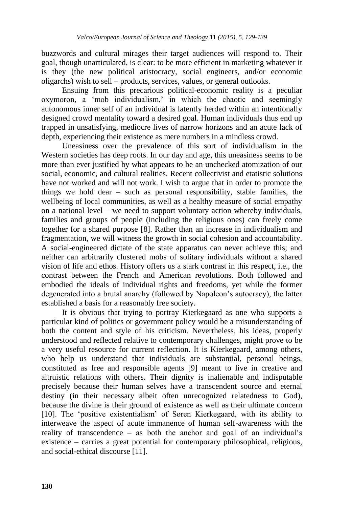buzzwords and cultural mirages their target audiences will respond to. Their goal, though unarticulated, is clear: to be more efficient in marketing whatever it is they (the new political aristocracy, social engineers, and/or economic oligarchs) wish to sell – products, services, values, or general outlooks.

Ensuing from this precarious political-economic reality is a peculiar oxymoron, a ‗mob individualism,' in which the chaotic and seemingly autonomous inner self of an individual is latently herded within an intentionally designed crowd mentality toward a desired goal. Human individuals thus end up trapped in unsatisfying, mediocre lives of narrow horizons and an acute lack of depth, experiencing their existence as mere numbers in a mindless crowd.

Uneasiness over the prevalence of this sort of individualism in the Western societies has deep roots. In our day and age, this uneasiness seems to be more than ever justified by what appears to be an unchecked atomization of our social, economic, and cultural realities. Recent collectivist and etatistic solutions have not worked and will not work. I wish to argue that in order to promote the things we hold dear – such as personal responsibility, stable families, the wellbeing of local communities, as well as a healthy measure of social empathy on a national level – we need to support voluntary action whereby individuals, families and groups of people (including the religious ones) can freely come together for a shared purpose [8]. Rather than an increase in individualism and fragmentation, we will witness the growth in social cohesion and accountability. A social-engineered dictate of the state apparatus can never achieve this; and neither can arbitrarily clustered mobs of solitary individuals without a shared vision of life and ethos. History offers us a stark contrast in this respect, i.e., the contrast between the French and American revolutions. Both followed and embodied the ideals of individual rights and freedoms, yet while the former degenerated into a brutal anarchy (followed by Napoleon's autocracy), the latter established a basis for a reasonably free society.

It is obvious that trying to portray Kierkegaard as one who supports a particular kind of politics or government policy would be a misunderstanding of both the content and style of his criticism. Nevertheless, his ideas, properly understood and reflected relative to contemporary challenges, might prove to be a very useful resource for current reflection. It is Kierkegaard, among others, who help us understand that individuals are substantial, personal beings, constituted as free and responsible agents [9] meant to live in creative and altruistic relations with others. Their dignity is inalienable and indisputable precisely because their human selves have a transcendent source and eternal destiny (in their necessary albeit often unrecognized relatedness to God), because the divine is their ground of existence as well as their ultimate concern [10]. The ‗positive existentialism' of Søren Kierkegaard, with its ability to interweave the aspect of acute immanence of human self-awareness with the reality of transcendence – as both the anchor and goal of an individual's existence – carries a great potential for contemporary philosophical, religious, and social-ethical discourse [11].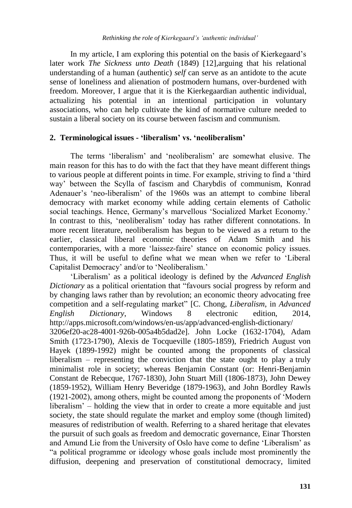In my article, I am exploring this potential on the basis of Kierkegaard's later work *The Sickness unto Death* (1849) [12]*,*arguing that his relational understanding of a human (authentic) *self* can serve as an antidote to the acute sense of loneliness and alienation of postmodern humans, over-burdened with freedom. Moreover, I argue that it is the Kierkegaardian authentic individual, actualizing his potential in an intentional participation in voluntary associations, who can help cultivate the kind of normative culture needed to sustain a liberal society on its course between fascism and communism.

# **2. Terminological issues - 'liberalism' vs. 'neoliberalism'**

The terms 'liberalism' and 'neoliberalism' are somewhat elusive. The main reason for this has to do with the fact that they have meant different things to various people at different points in time. For example, striving to find a 'third way' between the Scylla of fascism and Charybdis of communism, Konrad Adenauer's 'neo-liberalism' of the 1960s was an attempt to combine liberal democracy with market economy while adding certain elements of Catholic social teachings. Hence, Germany's marvellous 'Socialized Market Economy.' In contrast to this, 'neoliberalism' today has rather different connotations. In more recent literature, neoliberalism has begun to be viewed as a return to the earlier, classical liberal economic theories of Adam Smith and his contemporaries, with a more ‗laissez-faire' stance on economic policy issues. Thus, it will be useful to define what we mean when we refer to 'Liberal Capitalist Democracy' and/or to 'Neoliberalism.'

‗Liberalism' as a political ideology is defined by the *Advanced English Dictionary* as a political orientation that "favours social progress by reform and by changing laws rather than by revolution; an economic theory advocating free competition and a self-regulating market‖ [C. Chong, *Liberalism*, in *Advanced English Dictionary*, Windows 8 electronic edition, 2014, http://apps.microsoft.com/windows/en-us/app/advanced-english-dictionary/ 3206ef20-ac28-4001-926b-005a4b5dad2e]. John Locke (1632-1704), Adam Smith (1723-1790), Alexis de Tocqueville (1805-1859), Friedrich August von Hayek (1899-1992) might be counted among the proponents of classical liberalism – representing the conviction that the state ought to play a truly minimalist role in society; whereas Benjamin Constant (or: Henri-Benjamin Constant de Rebecque, 1767-1830), John Stuart Mill (1806-1873), John Dewey (1859-1952), William Henry Beveridge (1879-1963), and John Bordley Rawls (1921-2002), among others, might be counted among the proponents of ‗Modern liberalism' – holding the view that in order to create a more equitable and just society, the state should regulate the market and employ some (though limited) measures of redistribution of wealth. Referring to a shared heritage that elevates the pursuit of such goals as freedom and democratic governance, Einar Thorsten and Amund Lie from the University of Oslo have come to define 'Liberalism' as ―a political programme or ideology whose goals include most prominently the diffusion, deepening and preservation of constitutional democracy, limited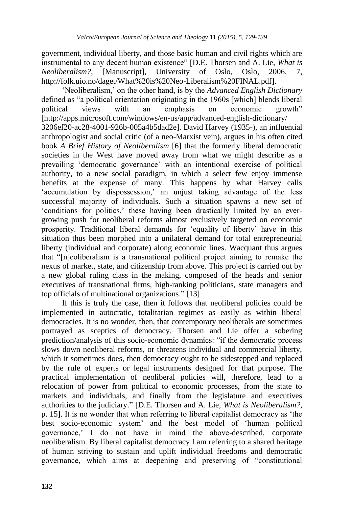government, individual liberty, and those basic human and civil rights which are instrumental to any decent human existence" [D.E. Thorsen and A. Lie, *What is Neoliberalism?*, [Manuscript], University of Oslo, Oslo, 2006, 7, http://folk.uio.no/daget/What%20is%20Neo-Liberalism%20FINAL.pdf].

‗Neoliberalism,' on the other hand, is by the *Advanced English Dictionary*  defined as "a political orientation originating in the 1960s [which] blends liberal political views with an emphasis on economic growth" [http://apps.microsoft.com/windows/en-us/app/advanced-english-dictionary/ 3206ef20-ac28-4001-926b-005a4b5dad2e]. David Harvey (1935-), an influential anthropologist and social critic (of a neo-Marxist vein), argues in his often cited book *A Brief History of Neoliberalism* [6] that the formerly liberal democratic societies in the West have moved away from what we might describe as a prevailing 'democratic governance' with an intentional exercise of political authority, to a new social paradigm, in which a select few enjoy immense benefits at the expense of many. This happens by what Harvey calls ‗accumulation by dispossession,' an unjust taking advantage of the less successful majority of individuals. Such a situation spawns a new set of ‗conditions for politics,' these having been drastically limited by an evergrowing push for neoliberal reforms almost exclusively targeted on economic prosperity. Traditional liberal demands for ‗equality of liberty' have in this situation thus been morphed into a unilateral demand for total entrepreneurial liberty (individual and corporate) along economic lines. Wacquant thus argues that ―[n]eoliberalism is a transnational political project aiming to remake the nexus of market, state, and citizenship from above. This project is carried out by a new global ruling class in the making, composed of the heads and senior executives of transnational firms, high-ranking politicians, state managers and top officials of multinational organizations." [13]

If this is truly the case, then it follows that neoliberal policies could be implemented in autocratic, totalitarian regimes as easily as within liberal democracies. It is no wonder, then, that contemporary neoliberals are sometimes portrayed as sceptics of democracy. Thorsen and Lie offer a sobering prediction/analysis of this socio-economic dynamics: "if the democratic process slows down neoliberal reforms, or threatens individual and commercial liberty, which it sometimes does, then democracy ought to be sidestepped and replaced by the rule of experts or legal instruments designed for that purpose. The practical implementation of neoliberal policies will, therefore, lead to a relocation of power from political to economic processes, from the state to markets and individuals, and finally from the legislature and executives authorities to the judiciary.‖ [D.E. Thorsen and A. Lie, *What is Neoliberalism?*, p. 15]. It is no wonder that when referring to liberal capitalist democracy as ‗the best socio-economic system' and the best model of 'human political governance,' I do not have in mind the above-described, corporate neoliberalism. By liberal capitalist democracy I am referring to a shared heritage of human striving to sustain and uplift individual freedoms and democratic governance, which aims at deepening and preserving of "constitutional"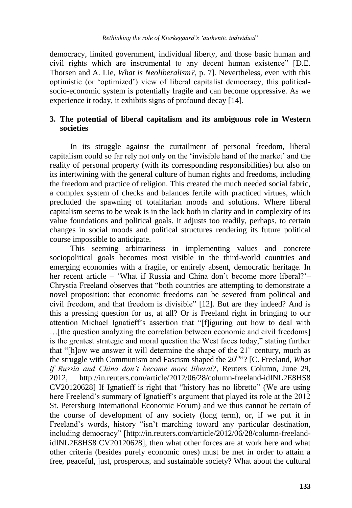democracy, limited government, individual liberty, and those basic human and civil rights which are instrumental to any decent human existence" [D.E. Thorsen and A. Lie, *What is Neoliberalism?*, p. 7]. Nevertheless, even with this optimistic (or ‗optimized') view of liberal capitalist democracy, this politicalsocio-economic system is potentially fragile and can become oppressive. As we experience it today, it exhibits signs of profound decay [14].

# **3. The potential of liberal capitalism and its ambiguous role in Western societies**

In its struggle against the curtailment of personal freedom, liberal capitalism could so far rely not only on the ‗invisible hand of the market' and the reality of personal property (with its corresponding responsibilities) but also on its intertwining with the general culture of human rights and freedoms, including the freedom and practice of religion. This created the much needed social fabric, a complex system of checks and balances fertile with practiced virtues, which precluded the spawning of totalitarian moods and solutions. Where liberal capitalism seems to be weak is in the lack both in clarity and in complexity of its value foundations and political goals. It adjusts too readily, perhaps, to certain changes in social moods and political structures rendering its future political course impossible to anticipate.

This seeming arbitrariness in implementing values and concrete sociopolitical goals becomes most visible in the third-world countries and emerging economies with a fragile, or entirely absent, democratic heritage. In her recent article – 'What if Russia and China don't become more liberal?'– Chrystia Freeland observes that "both countries are attempting to demonstrate a novel proposition: that economic freedoms can be severed from political and civil freedom, and that freedom is divisible" [12]. But are they indeed? And is this a pressing question for us, at all? Or is Freeland right in bringing to our attention Michael Ignatieff's assertion that "[fliguring out how to deal with …[the question analyzing the correlation between economic and civil freedoms] is the greatest strategic and moral question the West faces today," stating further that "[h]ow we answer it will determine the shape of the  $21<sup>st</sup>$  century, much as the struggle with Communism and Fascism shaped the 20<sup>th</sup><sup>20</sup>? [C. Freeland, *What if Russia and China don't become more liberal?*, Reuters Column, June 29, 2012, http://in.reuters.com/article/2012/06/28/column-freeland-idINL2E8HS8  $CV20120628$ ] If Ignatieff is right that "history has no libretto" (We are using here Freelend's summary of Ignatieff's argument that played its role at the 2012 St. Petersburg International Economic Forum) and we thus cannot be certain of the course of development of any society (long term), or, if we put it in Freeland's words, history "isn't marching toward any particular destination, including democracy" [http://in.reuters.com/article/2012/06/28/column-freelandidINL2E8HS8 CV20120628], then what other forces are at work here and what other criteria (besides purely economic ones) must be met in order to attain a free, peaceful, just, prosperous, and sustainable society? What about the cultural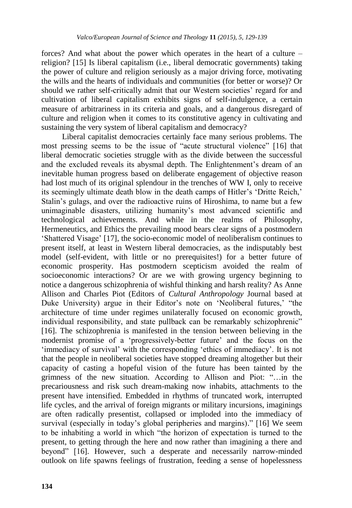forces? And what about the power which operates in the heart of a culture – religion? [15] Is liberal capitalism (i.e., liberal democratic governments) taking the power of culture and religion seriously as a major driving force, motivating the wills and the hearts of individuals and communities (for better or worse)? Or should we rather self-critically admit that our Western societies' regard for and cultivation of liberal capitalism exhibits signs of self-indulgence, a certain measure of arbitrariness in its criteria and goals, and a dangerous disregard of culture and religion when it comes to its constitutive agency in cultivating and sustaining the very system of liberal capitalism and democracy?

Liberal capitalist democracies certainly face many serious problems. The most pressing seems to be the issue of "acute structural violence" [16] that liberal democratic societies struggle with as the divide between the successful and the excluded reveals its abysmal depth. The Enlightenment's dream of an inevitable human progress based on deliberate engagement of objective reason had lost much of its original splendour in the trenches of WW I, only to receive its seemingly ultimate death blow in the death camps of Hitler's 'Dritte Reich,' Stalin's gulags, and over the radioactive ruins of Hiroshima, to name but a few unimaginable disasters, utilizing humanity's most advanced scientific and technological achievements. And while in the realms of Philosophy, Hermeneutics, and Ethics the prevailing mood bears clear signs of a postmodern ‗Shattered Visage' [17], the socio-economic model of neoliberalism continues to present itself, at least in Western liberal democracies, as the indisputably best model (self-evident, with little or no prerequisites!) for a better future of economic prosperity. Has postmodern scepticism avoided the realm of socioeconomic interactions? Or are we with growing urgency beginning to notice a dangerous schizophrenia of wishful thinking and harsh reality? As Anne Allison and Charles Piot (Editors of *Cultural Anthropology* Journal based at Duke University) argue in their Editor's note on 'Neoliberal futures,' "the architecture of time under regimes unilaterally focused on economic growth, individual responsibility, and state pullback can be remarkably schizophrenic" [16]. The schizophrenia is manifested in the tension between believing in the modernist promise of a 'progressively-better future' and the focus on the ‗immediacy of survival' with the corresponding ‗ethics of immediacy'. It is not that the people in neoliberal societies have stopped dreaming altogether but their capacity of casting a hopeful vision of the future has been tainted by the grimness of the new situation. According to Allison and Piot: ―…in the precariousness and risk such dream-making now inhabits, attachments to the present have intensified. Embedded in rhythms of truncated work, interrupted life cycles, and the arrival of foreign migrants or military incursions, imaginings are often radically presentist, collapsed or imploded into the immediacy of survival (especially in today's global peripheries and margins)." [16] We seem to be inhabiting a world in which "the horizon of expectation is turned to the present, to getting through the here and now rather than imagining a there and beyond‖ [16]. However, such a desperate and necessarily narrow-minded outlook on life spawns feelings of frustration, feeding a sense of hopelessness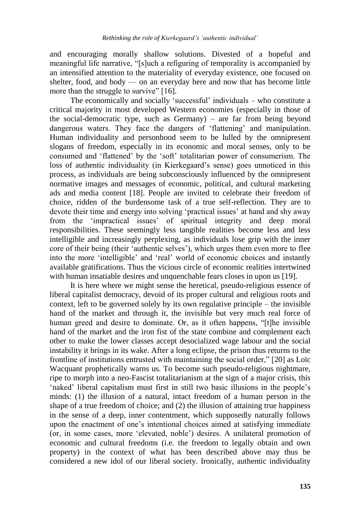and encouraging morally shallow solutions. Divested of a hopeful and meaningful life narrative, "[s]uch a refiguring of temporality is accompanied by an intensified attention to the materiality of everyday existence, one focused on shelter, food, and body — on an everyday here and now that has become little more than the struggle to survive"  $[16]$ .

The economically and socially 'successful' individuals – who constitute a critical majority in most developed Western economies (especially in those of the social-democratic type, such as Germany) – are far from being beyond dangerous waters. They face the dangers of 'flattening' and manipulation. Human individuality and personhood seem to be lulled by the omnipresent slogans of freedom, especially in its economic and moral senses, only to be consumed and 'flattened' by the 'soft' totalitarian power of consumerism. The loss of authentic individuality (in Kierkegaard's sense) goes unnoticed in this process, as individuals are being subconsciously influenced by the omnipresent normative images and messages of economic, political, and cultural marketing ads and media content [18]. People are invited to celebrate their freedom of choice, ridden of the burdensome task of a true self-reflection. They are to devote their time and energy into solving 'practical issues' at hand and shy away from the ‗impractical issues' of spiritual integrity and deep moral responsibilities. These seemingly less tangible realities become less and less intelligible and increasingly perplexing, as individuals lose grip with the inner core of their being (their 'authentic selves'), which urges them even more to flee into the more 'intelligible' and 'real' world of economic choices and instantly available gratifications. Thus the vicious circle of economic realities intertwined with human insatiable desires and unquenchable fears closes in upon us [19].

It is here where we might sense the heretical, pseudo-religious essence of liberal capitalist democracy, devoid of its proper cultural and religious roots and context, left to be governed solely by its own regulative principle – the invisible hand of the market and through it, the invisible but very much real force of human greed and desire to dominate. Or, as it often happens, "[t]he invisible hand of the market and the iron fist of the state combine and complement each other to make the lower classes accept desocialized wage labour and the social instability it brings in its wake. After a long eclipse, the prison thus returns to the frontline of institutions entrusted with maintaining the social order," [20] as Loïc Wacquant prophetically warns us. To become such pseudo-religious nightmare, ripe to morph into a neo-Fascist totalitarianism at the sign of a major crisis, this ‗naked' liberal capitalism must first in still two basic illusions in the people's minds: (1) the illusion of a natural, intact freedom of a human person in the shape of a true freedom of choice; and (2) the illusion of attaining true happiness in the sense of a deep, inner contentment, which supposedly naturally follows upon the enactment of one's intentional choices aimed at satisfying immediate (or, in some cases, more ‗elevated, noble') desires. A unilateral promotion of economic and cultural freedoms (i.e. the freedom to legally obtain and own property) in the context of what has been described above may thus be considered a new idol of our liberal society. Ironically, authentic individuality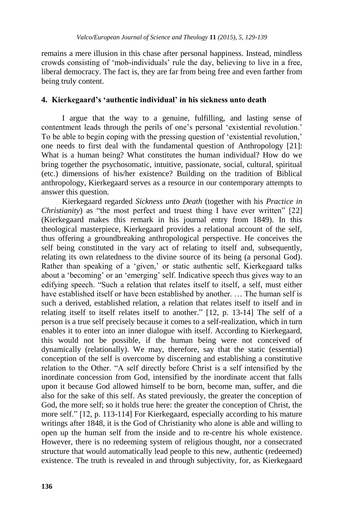remains a mere illusion in this chase after personal happiness. Instead, mindless crowds consisting of ‗mob-individuals' rule the day, believing to live in a free, liberal democracy. The fact is, they are far from being free and even farther from being truly content.

### **4. Kierkegaard's 'authentic individual' in his sickness unto death**

I argue that the way to a genuine, fulfilling, and lasting sense of contentment leads through the perils of one's personal 'existential revolution.' To be able to begin coping with the pressing question of ‗existential revolution,' one needs to first deal with the fundamental question of Anthropology [21]: What is a human being? What constitutes the human individual? How do we bring together the psychosomatic, intuitive, passionate, social, cultural, spiritual (etc.) dimensions of his/her existence? Building on the tradition of Biblical anthropology, Kierkegaard serves as a resource in our contemporary attempts to answer this question.

Kierkegaard regarded *Sickness unto Death* (together with his *Practice in Christianity*) as "the most perfect and truest thing I have ever written" [22] (Kierkegaard makes this remark in his journal entry from 1849). In this theological masterpiece, Kierkegaard provides a relational account of the self, thus offering a groundbreaking anthropological perspective. He conceives the self being constituted in the vary act of relating to itself and, subsequently, relating its own relatedness to the divine source of its being (a personal God). Rather than speaking of a 'given,' or static authentic self, Kierkegaard talks about a 'becoming' or an 'emerging' self. Indicative speech thus gives way to an edifying speech. "Such a relation that relates itself to itself, a self, must either have established itself or have been established by another. … The human self is such a derived, established relation, a relation that relates itself to itself and in relating itself to itself relates itself to another." [12, p. 13-14] The self of a person is a true self precisely because it comes to a self-realization, which in turn enables it to enter into an inner dialogue with itself. According to Kierkegaard, this would not be possible, if the human being were not conceived of dynamically (relationally). We may, therefore, say that the static (essential) conception of the self is overcome by discerning and establishing a constitutive relation to the Other. "A self directly before Christ is a self intensified by the inordinate concession from God, intensified by the inordinate accent that falls upon it because God allowed himself to be born, become man, suffer, and die also for the sake of this self. As stated previously, the greater the conception of God, the more self; so it holds true here: the greater the conception of Christ, the more self." [12, p. 113-114] For Kierkegaard, especially according to his mature writings after 1848, it is the God of Christianity who alone is able and willing to open up the human self from the inside and to re-centre his whole existence. However, there is no redeeming system of religious thought, nor a consecrated structure that would automatically lead people to this new, authentic (redeemed) existence. The truth is revealed in and through subjectivity, for, as Kierkegaard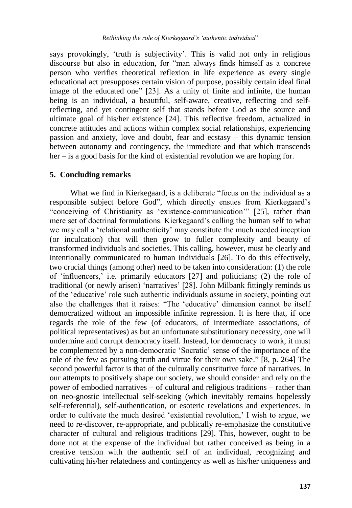says provokingly, 'truth is subjectivity'. This is valid not only in religious discourse but also in education, for "man always finds himself as a concrete person who verifies theoretical reflexion in life experience as every single educational act presupposes certain vision of purpose, possibly certain ideal final image of the educated one" [23]. As a unity of finite and infinite, the human being is an individual, a beautiful, self-aware, creative, reflecting and selfreflecting, and yet contingent self that stands before God as the source and ultimate goal of his/her existence [24]. This reflective freedom, actualized in concrete attitudes and actions within complex social relationships, experiencing passion and anxiety, love and doubt, fear and ecstasy – this dynamic tension between autonomy and contingency, the immediate and that which transcends her – is a good basis for the kind of existential revolution we are hoping for.

#### **5. Concluding remarks**

What we find in Kierkegaard, is a deliberate "focus on the individual as a responsible subject before God", which directly ensues from Kierkegaard's "conceiving of Christianity as 'existence-communication'" [25], rather than mere set of doctrinal formulations. Kierkegaard's calling the human self to what we may call a 'relational authenticity' may constitute the much needed inception (or inculcation) that will then grow to fuller complexity and beauty of transformed individuals and societies. This calling, however, must be clearly and intentionally communicated to human individuals [26]. To do this effectively, two crucial things (among other) need to be taken into consideration: (1) the role of 'influencers,' i.e. primarily educators  $[27]$  and politicians; (2) the role of traditional (or newly arisen) ‗narratives' [28]. John Milbank fittingly reminds us of the ‗educative' role such authentic individuals assume in society, pointing out also the challenges that it raises: "The 'educative' dimension cannot be itself democratized without an impossible infinite regression. It is here that, if one regards the role of the few (of educators, of intermediate associations, of political representatives) as but an unfortunate substitutionary necessity, one will undermine and corrupt democracy itself. Instead, for democracy to work, it must be complemented by a non-democratic 'Socratic' sense of the importance of the role of the few as pursuing truth and virtue for their own sake." [8, p. 264] The second powerful factor is that of the culturally constitutive force of narratives. In our attempts to positively shape our society, we should consider and rely on the power of embodied narratives – of cultural and religious traditions – rather than on neo-gnostic intellectual self-seeking (which inevitably remains hopelessly self-referential), self-authentication, or esoteric revelations and experiences. In order to cultivate the much desired ‗existential revolution,' I wish to argue, we need to re-discover, re-appropriate, and publically re-emphasize the constitutive character of cultural and religious traditions [29]. This, however, ought to be done not at the expense of the individual but rather conceived as being in a creative tension with the authentic self of an individual, recognizing and cultivating his/her relatedness and contingency as well as his/her uniqueness and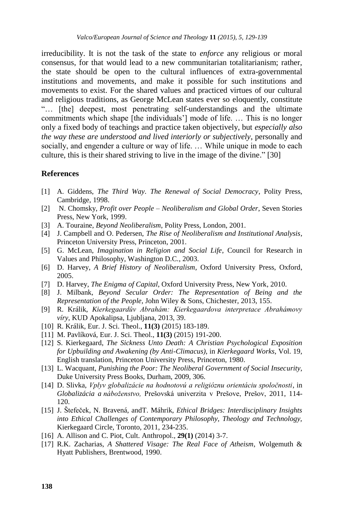irreducibility. It is not the task of the state to *enforce* any religious or moral consensus, for that would lead to a new communitarian totalitarianism; rather, the state should be open to the cultural influences of extra-governmental institutions and movements, and make it possible for such institutions and movements to exist. For the shared values and practiced virtues of our cultural and religious traditions, as George McLean states ever so eloquently, constitute "... [the] deepest, most penetrating self-understandings and the ultimate commitments which shape [the individuals'] mode of life. … This is no longer only a fixed body of teachings and practice taken objectively, but *especially also the way these are understood and lived interiorly or subjectively*, personally and socially, and engender a culture or way of life. … While unique in mode to each culture, this is their shared striving to live in the image of the divine." [30]

#### **References**

- [1] A. Giddens, *The Third Way. The Renewal of Social Democracy*, Polity Press, Cambridge, 1998.
- [2] N. Chomsky, *Profit over People – Neoliberalism and Global Order*, Seven Stories Press, New York, 1999.
- [3] A. Touraine, *Beyond Neoliberalism*, Polity Press, London, 2001.
- [4] J. Campbell and O. Pedersen, *The Rise of Neoliberalism and Institutional Analysis*, Princeton University Press, Princeton, 2001.
- [5] G. McLean, *Imagination in Religion and Social Life*, Council for Research in Values and Philosophy, Washington D.C., 2003.
- [6] D. Harvey, *A Brief History of Neoliberalism*, Oxford University Press, Oxford, 2005.
- [7] D. Harvey, *The Enigma of Capital*, Oxford University Press, New York, 2010.
- [8] J. Milbank, *Beyond Secular Order: The Representation of Being and the Representation of the People,* John Wiley & Sons, Chichester, 2013, 155.
- [9] R. Králik, *Kierkegaardův Abrahám: Kierkegaardova interpretace Abrahámovy víry*, KUD Apokalipsa, Ljubljana, 2013, 39.
- [10] R. Králik, Eur. J. Sci. Theol., **11(3)** (2015) 183-189.
- [11] M. Pavlíková, Eur. J. Sci. Theol., **11(3)** (2015) 191-200.
- [12] S. Kierkegaard, *The Sickness Unto Death: A Christian Psychological Exposition for Upbuilding and Awakening (by Anti-Climacus)*, in *Kierkegaard Works*, Vol. 19, English translation, Princeton University Press, Princeton, 1980.
- [13] L. Wacquant, *Punishing the Poor: The Neoliberal Government of Social Insecurity*, Duke University Press Books, Durham, 2009, 306.
- [14] D. Slivka, *Vplyv globalizácie na hodnotovú a religióznu orientáciu spoločnosti*, in *Globalizácia a náboženstvo,* Prešovská univerzita v Prešove, Prešov, 2011, 114- 120.
- [15] J. Štefeček, N. Bravená, andT. Máhrik, *Ethical Bridges: Interdisciplinary Insights into Ethical Challenges of Contemporary Philosophy, Theology and Technology,* Kierkegaard Circle, Toronto, 2011, 234-235.
- [16] A. Allison and C. Piot, Cult. Anthropol.*,* **29(1)** (2014) 3-7.
- [17] R.K. Zacharias, *A Shattered Visage: The Real Face of Atheism*, Wolgemuth & Hyatt Publishers, Brentwood, 1990.